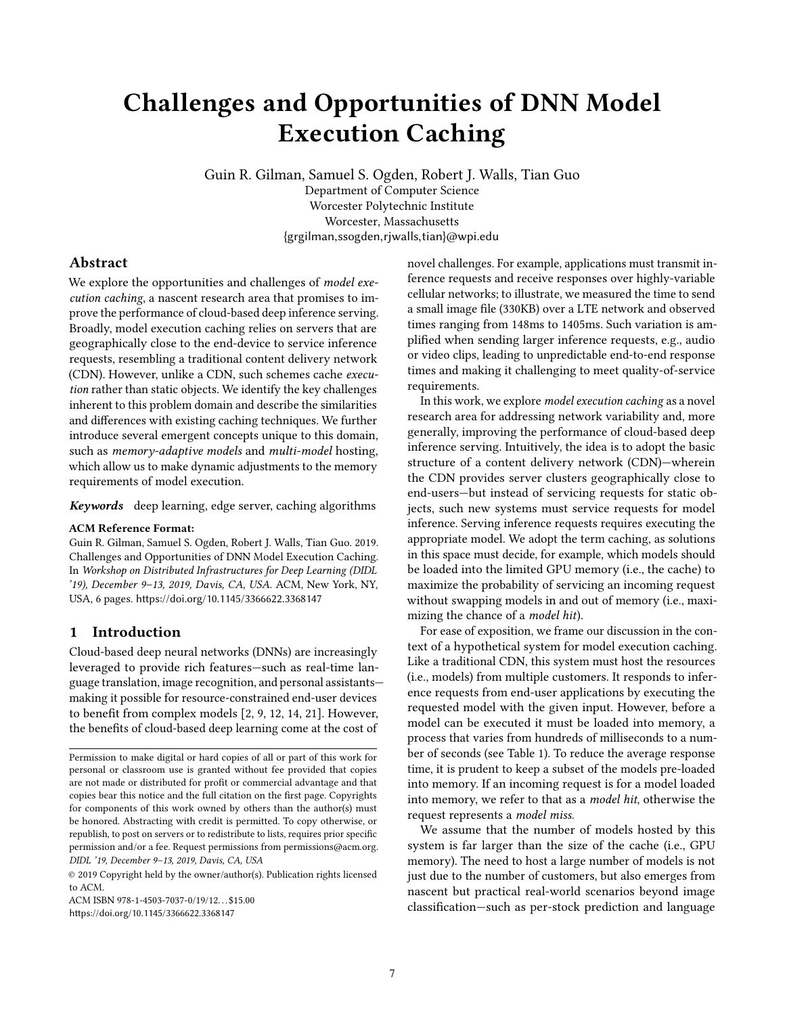# <span id="page-0-0"></span>Challenges and Opportunities of DNN Model Execution Caching

Guin R. Gilman, Samuel S. Ogden, Robert J. Walls, Tian Guo Department of Computer Science Worcester Polytechnic Institute Worcester, Massachusetts

{grgilman,ssogden,rjwalls,tian}@wpi.edu

# Abstract

We explore the opportunities and challenges of model execution caching, a nascent research area that promises to improve the performance of cloud-based deep inference serving. Broadly, model execution caching relies on servers that are geographically close to the end-device to service inference requests, resembling a traditional content delivery network (CDN). However, unlike a CDN, such schemes cache execution rather than static objects. We identify the key challenges inherent to this problem domain and describe the similarities and differences with existing caching techniques. We further introduce several emergent concepts unique to this domain, such as memory-adaptive models and multi-model hosting, which allow us to make dynamic adjustments to the memory requirements of model execution.

Keywords deep learning, edge server, caching algorithms

#### ACM Reference Format:

Guin R. Gilman, Samuel S. Ogden, Robert J. Walls, Tian Guo. 2019. Challenges and Opportunities of DNN Model Execution Caching. In Workshop on Distributed Infrastructures for Deep Learning (DIDL '19), December 9–13, 2019, Davis, CA, USA. ACM, New York, NY, USA, [6](#page-0-0) pages. <https://doi.org/10.1145/3366622.3368147>

#### 1 Introduction

Cloud-based deep neural networks (DNNs) are increasingly leveraged to provide rich features—such as real-time language translation, image recognition, and personal assistants making it possible for resource-constrained end-user devices to benefit from complex models [\[2,](#page-4-0) [9,](#page-4-1) [12,](#page-5-0) [14,](#page-5-1) [21\]](#page-5-2). However, the benefits of cloud-based deep learning come at the cost of

ACM ISBN 978-1-4503-7037-0/19/12. . . \$15.00 <https://doi.org/10.1145/3366622.3368147>

novel challenges. For example, applications must transmit inference requests and receive responses over highly-variable cellular networks; to illustrate, we measured the time to send a small image file (330KB) over a LTE network and observed times ranging from 148ms to 1405ms. Such variation is amplified when sending larger inference requests, e.g., audio or video clips, leading to unpredictable end-to-end response times and making it challenging to meet quality-of-service requirements.

In this work, we explore model execution caching as a novel research area for addressing network variability and, more generally, improving the performance of cloud-based deep inference serving. Intuitively, the idea is to adopt the basic structure of a content delivery network (CDN)—wherein the CDN provides server clusters geographically close to end-users—but instead of servicing requests for static objects, such new systems must service requests for model inference. Serving inference requests requires executing the appropriate model. We adopt the term caching, as solutions in this space must decide, for example, which models should be loaded into the limited GPU memory (i.e., the cache) to maximize the probability of servicing an incoming request without swapping models in and out of memory (i.e., maximizing the chance of a model hit).

For ease of exposition, we frame our discussion in the context of a hypothetical system for model execution caching. Like a traditional CDN, this system must host the resources (i.e., models) from multiple customers. It responds to inference requests from end-user applications by executing the requested model with the given input. However, before a model can be executed it must be loaded into memory, a process that varies from hundreds of milliseconds to a number of seconds (see Table [1\)](#page-2-0). To reduce the average response time, it is prudent to keep a subset of the models pre-loaded into memory. If an incoming request is for a model loaded into memory, we refer to that as a model hit, otherwise the request represents a model miss.

We assume that the number of models hosted by this system is far larger than the size of the cache (i.e., GPU memory). The need to host a large number of models is not just due to the number of customers, but also emerges from nascent but practical real-world scenarios beyond image classification—such as per-stock prediction and language

Permission to make digital or hard copies of all or part of this work for personal or classroom use is granted without fee provided that copies are not made or distributed for profit or commercial advantage and that copies bear this notice and the full citation on the first page. Copyrights for components of this work owned by others than the author(s) must be honored. Abstracting with credit is permitted. To copy otherwise, or republish, to post on servers or to redistribute to lists, requires prior specific permission and/or a fee. Request permissions from permissions@acm.org. DIDL '19, December 9–13, 2019, Davis, CA, USA

<sup>©</sup> 2019 Copyright held by the owner/author(s). Publication rights licensed to ACM.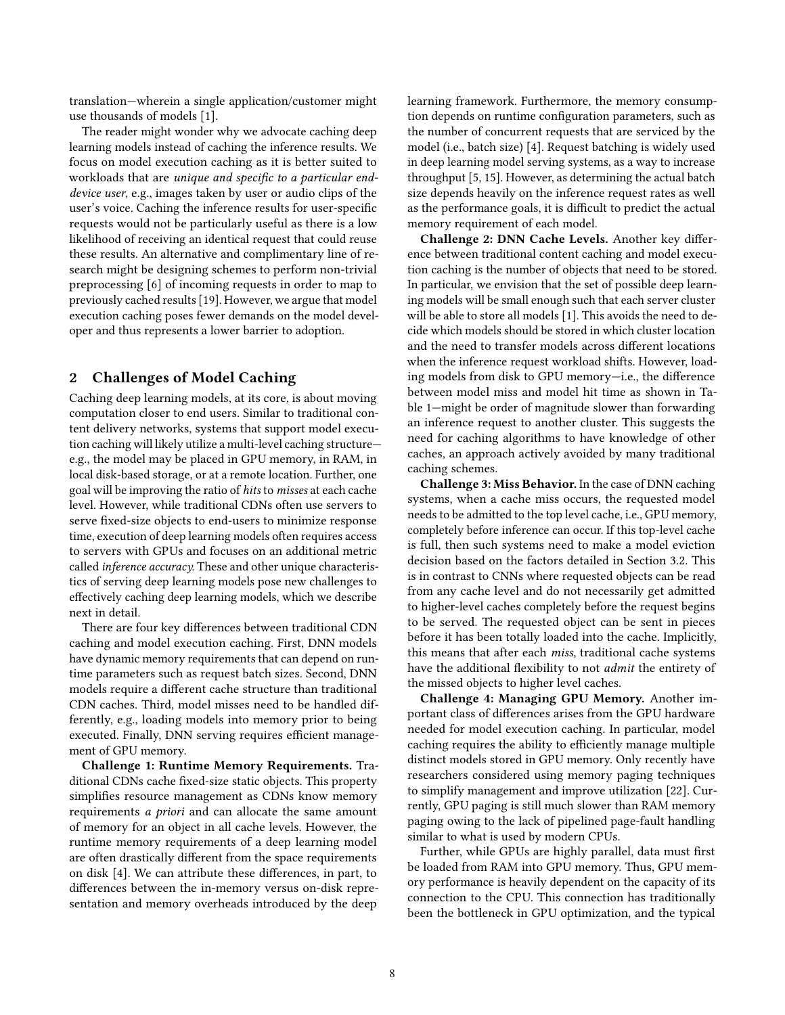translation—wherein a single application/customer might use thousands of models [\[1\]](#page-4-2).

The reader might wonder why we advocate caching deep learning models instead of caching the inference results. We focus on model execution caching as it is better suited to workloads that are unique and specific to a particular enddevice user, e.g., images taken by user or audio clips of the user's voice. Caching the inference results for user-specific requests would not be particularly useful as there is a low likelihood of receiving an identical request that could reuse these results. An alternative and complimentary line of research might be designing schemes to perform non-trivial preprocessing [\[6\]](#page-4-3) of incoming requests in order to map to previously cached results [\[19\]](#page-5-3). However, we argue that model execution caching poses fewer demands on the model developer and thus represents a lower barrier to adoption.

## 2 Challenges of Model Caching

Caching deep learning models, at its core, is about moving computation closer to end users. Similar to traditional content delivery networks, systems that support model execution caching will likely utilize a multi-level caching structure e.g., the model may be placed in GPU memory, in RAM, in local disk-based storage, or at a remote location. Further, one goal will be improving the ratio of hits to misses at each cache level. However, while traditional CDNs often use servers to serve fixed-size objects to end-users to minimize response time, execution of deep learning models often requires access to servers with GPUs and focuses on an additional metric called inference accuracy. These and other unique characteristics of serving deep learning models pose new challenges to effectively caching deep learning models, which we describe next in detail.

There are four key differences between traditional CDN caching and model execution caching. First, DNN models have dynamic memory requirements that can depend on runtime parameters such as request batch sizes. Second, DNN models require a different cache structure than traditional CDN caches. Third, model misses need to be handled differently, e.g., loading models into memory prior to being executed. Finally, DNN serving requires efficient management of GPU memory.

Challenge 1: Runtime Memory Requirements. Traditional CDNs cache fixed-size static objects. This property simplifies resource management as CDNs know memory requirements a priori and can allocate the same amount of memory for an object in all cache levels. However, the runtime memory requirements of a deep learning model are often drastically different from the space requirements on disk [\[4\]](#page-4-4). We can attribute these differences, in part, to differences between the in-memory versus on-disk representation and memory overheads introduced by the deep

learning framework. Furthermore, the memory consumption depends on runtime configuration parameters, such as the number of concurrent requests that are serviced by the model (i.e., batch size) [\[4\]](#page-4-4). Request batching is widely used in deep learning model serving systems, as a way to increase throughput [\[5,](#page-4-5) [15\]](#page-5-4). However, as determining the actual batch size depends heavily on the inference request rates as well as the performance goals, it is difficult to predict the actual memory requirement of each model.

Challenge 2: DNN Cache Levels. Another key difference between traditional content caching and model execution caching is the number of objects that need to be stored. In particular, we envision that the set of possible deep learning models will be small enough such that each server cluster will be able to store all models [\[1\]](#page-4-2). This avoids the need to decide which models should be stored in which cluster location and the need to transfer models across different locations when the inference request workload shifts. However, loading models from disk to GPU memory—i.e., the difference between model miss and model hit time as shown in Table [1—](#page-2-0)might be order of magnitude slower than forwarding an inference request to another cluster. This suggests the need for caching algorithms to have knowledge of other caches, an approach actively avoided by many traditional caching schemes.

Challenge 3: Miss Behavior. In the case of DNN caching systems, when a cache miss occurs, the requested model needs to be admitted to the top level cache, i.e., GPU memory, completely before inference can occur. If this top-level cache is full, then such systems need to make a model eviction decision based on the factors detailed in Section [3.2.](#page-2-1) This is in contrast to CNNs where requested objects can be read from any cache level and do not necessarily get admitted to higher-level caches completely before the request begins to be served. The requested object can be sent in pieces before it has been totally loaded into the cache. Implicitly, this means that after each miss, traditional cache systems have the additional flexibility to not admit the entirety of the missed objects to higher level caches.

Challenge 4: Managing GPU Memory. Another important class of differences arises from the GPU hardware needed for model execution caching. In particular, model caching requires the ability to efficiently manage multiple distinct models stored in GPU memory. Only recently have researchers considered using memory paging techniques to simplify management and improve utilization [\[22\]](#page-5-5). Currently, GPU paging is still much slower than RAM memory paging owing to the lack of pipelined page-fault handling similar to what is used by modern CPUs.

Further, while GPUs are highly parallel, data must first be loaded from RAM into GPU memory. Thus, GPU memory performance is heavily dependent on the capacity of its connection to the CPU. This connection has traditionally been the bottleneck in GPU optimization, and the typical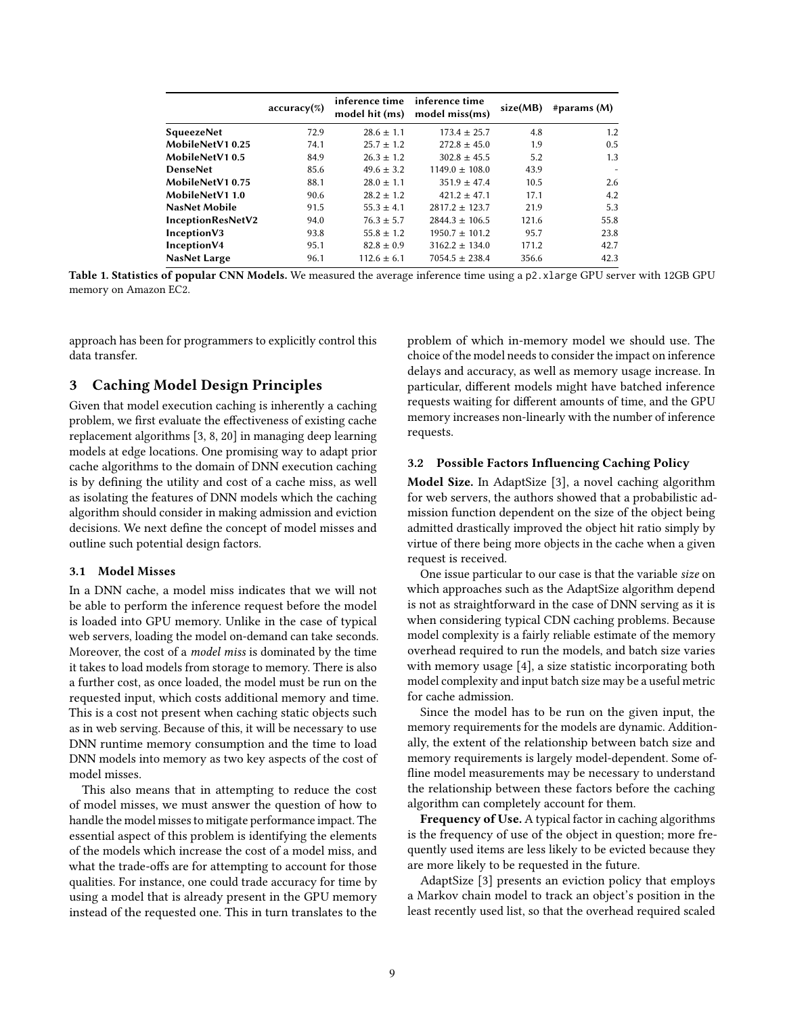<span id="page-2-0"></span>

|                   | $accuracy(\%)$ | inference time inference time<br>model hit (ms) | model miss(ms)     | size(MB) | #params $(M)$ |
|-------------------|----------------|-------------------------------------------------|--------------------|----------|---------------|
| <b>SqueezeNet</b> | 72.9           | $28.6 \pm 1.1$                                  | $173.4 \pm 25.7$   | 4.8      | 1.2           |
| MobileNetV10.25   | 74.1           | $25.7 \pm 1.2$                                  | $272.8 \pm 45.0$   | 1.9      | 0.5           |
| MobileNetV10.5    | 84.9           | $26.3 \pm 1.2$                                  | $302.8 \pm 45.5$   | 5.2      | 1.3           |
| <b>DenseNet</b>   | 85.6           | $49.6 \pm 3.2$                                  | $1149.0 \pm 108.0$ | 43.9     |               |
| MobileNetV10.75   | 88.1           | $28.0 \pm 1.1$                                  | $351.9 \pm 47.4$   | 10.5     | 2.6           |
| MobileNetV1 1.0   | 90.6           | $28.2 \pm 1.2$                                  | $421.2 \pm 47.1$   | 17.1     | 4.2           |
| NasNet Mobile     | 91.5           | $55.3 \pm 4.1$                                  | $2817.2 \pm 123.7$ | 21.9     | 5.3           |
| InceptionResNetV2 | 94.0           | $76.3 \pm 5.7$                                  | $2844.3 \pm 106.5$ | 121.6    | 55.8          |
| InceptionV3       | 93.8           | $55.8 \pm 1.2$                                  | $1950.7 \pm 101.2$ | 95.7     | 23.8          |
| InceptionV4       | 95.1           | $82.8 \pm 0.9$                                  | $3162.2 + 134.0$   | 171.2    | 42.7          |
| NasNet Large      | 96.1           | $112.6 \pm 6.1$                                 | $7054.5 \pm 238.4$ | 356.6    | 42.3          |

Table 1. Statistics of popular CNN Models. We measured the average inference time using a p2. xlarge GPU server with 12GB GPU memory on Amazon EC2.

approach has been for programmers to explicitly control this data transfer.

## 3 Caching Model Design Principles

Given that model execution caching is inherently a caching problem, we first evaluate the effectiveness of existing cache replacement algorithms [\[3,](#page-4-6) [8,](#page-4-7) [20\]](#page-5-6) in managing deep learning models at edge locations. One promising way to adapt prior cache algorithms to the domain of DNN execution caching is by defining the utility and cost of a cache miss, as well as isolating the features of DNN models which the caching algorithm should consider in making admission and eviction decisions. We next define the concept of model misses and outline such potential design factors.

#### 3.1 Model Misses

In a DNN cache, a model miss indicates that we will not be able to perform the inference request before the model is loaded into GPU memory. Unlike in the case of typical web servers, loading the model on-demand can take seconds. Moreover, the cost of a model miss is dominated by the time it takes to load models from storage to memory. There is also a further cost, as once loaded, the model must be run on the requested input, which costs additional memory and time. This is a cost not present when caching static objects such as in web serving. Because of this, it will be necessary to use DNN runtime memory consumption and the time to load DNN models into memory as two key aspects of the cost of model misses.

This also means that in attempting to reduce the cost of model misses, we must answer the question of how to handle the model misses to mitigate performance impact. The essential aspect of this problem is identifying the elements of the models which increase the cost of a model miss, and what the trade-offs are for attempting to account for those qualities. For instance, one could trade accuracy for time by using a model that is already present in the GPU memory instead of the requested one. This in turn translates to the

problem of which in-memory model we should use. The choice of the model needs to consider the impact on inference delays and accuracy, as well as memory usage increase. In particular, different models might have batched inference requests waiting for different amounts of time, and the GPU memory increases non-linearly with the number of inference requests.

#### <span id="page-2-1"></span>3.2 Possible Factors Influencing Caching Policy

Model Size. In AdaptSize [\[3\]](#page-4-6), a novel caching algorithm for web servers, the authors showed that a probabilistic admission function dependent on the size of the object being admitted drastically improved the object hit ratio simply by virtue of there being more objects in the cache when a given request is received.

One issue particular to our case is that the variable size on which approaches such as the AdaptSize algorithm depend is not as straightforward in the case of DNN serving as it is when considering typical CDN caching problems. Because model complexity is a fairly reliable estimate of the memory overhead required to run the models, and batch size varies with memory usage [\[4\]](#page-4-4), a size statistic incorporating both model complexity and input batch size may be a useful metric for cache admission.

Since the model has to be run on the given input, the memory requirements for the models are dynamic. Additionally, the extent of the relationship between batch size and memory requirements is largely model-dependent. Some offline model measurements may be necessary to understand the relationship between these factors before the caching algorithm can completely account for them.

Frequency of Use. A typical factor in caching algorithms is the frequency of use of the object in question; more frequently used items are less likely to be evicted because they are more likely to be requested in the future.

AdaptSize [\[3\]](#page-4-6) presents an eviction policy that employs a Markov chain model to track an object's position in the least recently used list, so that the overhead required scaled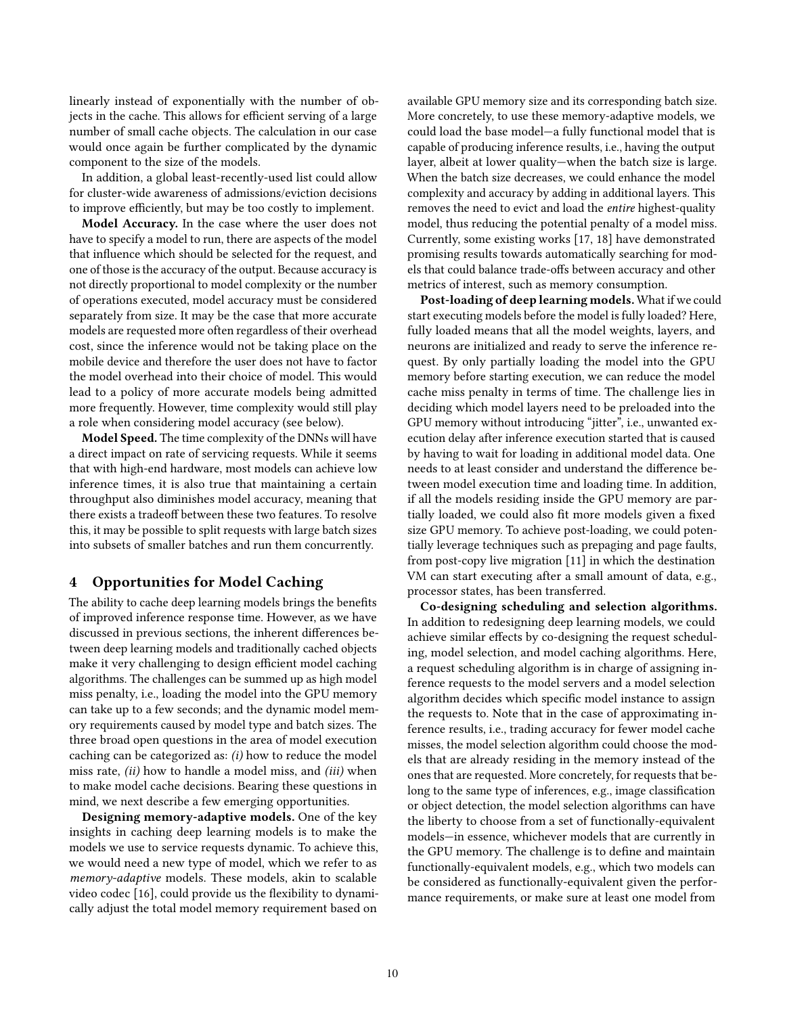linearly instead of exponentially with the number of objects in the cache. This allows for efficient serving of a large number of small cache objects. The calculation in our case would once again be further complicated by the dynamic component to the size of the models.

In addition, a global least-recently-used list could allow for cluster-wide awareness of admissions/eviction decisions to improve efficiently, but may be too costly to implement.

Model Accuracy. In the case where the user does not have to specify a model to run, there are aspects of the model that influence which should be selected for the request, and one of those is the accuracy of the output. Because accuracy is not directly proportional to model complexity or the number of operations executed, model accuracy must be considered separately from size. It may be the case that more accurate models are requested more often regardless of their overhead cost, since the inference would not be taking place on the mobile device and therefore the user does not have to factor the model overhead into their choice of model. This would lead to a policy of more accurate models being admitted more frequently. However, time complexity would still play a role when considering model accuracy (see below).

Model Speed. The time complexity of the DNNs will have a direct impact on rate of servicing requests. While it seems that with high-end hardware, most models can achieve low inference times, it is also true that maintaining a certain throughput also diminishes model accuracy, meaning that there exists a tradeoff between these two features. To resolve this, it may be possible to split requests with large batch sizes into subsets of smaller batches and run them concurrently.

## 4 Opportunities for Model Caching

The ability to cache deep learning models brings the benefits of improved inference response time. However, as we have discussed in previous sections, the inherent differences between deep learning models and traditionally cached objects make it very challenging to design efficient model caching algorithms. The challenges can be summed up as high model miss penalty, i.e., loading the model into the GPU memory can take up to a few seconds; and the dynamic model memory requirements caused by model type and batch sizes. The three broad open questions in the area of model execution caching can be categorized as: (i) how to reduce the model miss rate, (ii) how to handle a model miss, and (iii) when to make model cache decisions. Bearing these questions in mind, we next describe a few emerging opportunities.

Designing memory-adaptive models. One of the key insights in caching deep learning models is to make the models we use to service requests dynamic. To achieve this, we would need a new type of model, which we refer to as memory-adaptive models. These models, akin to scalable video codec [\[16\]](#page-5-7), could provide us the flexibility to dynamically adjust the total model memory requirement based on

available GPU memory size and its corresponding batch size. More concretely, to use these memory-adaptive models, we could load the base model—a fully functional model that is capable of producing inference results, i.e., having the output layer, albeit at lower quality—when the batch size is large. When the batch size decreases, we could enhance the model complexity and accuracy by adding in additional layers. This removes the need to evict and load the entire highest-quality model, thus reducing the potential penalty of a model miss. Currently, some existing works [\[17,](#page-5-8) [18\]](#page-5-9) have demonstrated promising results towards automatically searching for models that could balance trade-offs between accuracy and other metrics of interest, such as memory consumption.

Post-loading of deep learning models. What if we could start executing models before the model is fully loaded? Here, fully loaded means that all the model weights, layers, and neurons are initialized and ready to serve the inference request. By only partially loading the model into the GPU memory before starting execution, we can reduce the model cache miss penalty in terms of time. The challenge lies in deciding which model layers need to be preloaded into the GPU memory without introducing "jitter", i.e., unwanted execution delay after inference execution started that is caused by having to wait for loading in additional model data. One needs to at least consider and understand the difference between model execution time and loading time. In addition, if all the models residing inside the GPU memory are partially loaded, we could also fit more models given a fixed size GPU memory. To achieve post-loading, we could potentially leverage techniques such as prepaging and page faults, from post-copy live migration [\[11\]](#page-5-10) in which the destination VM can start executing after a small amount of data, e.g., processor states, has been transferred.

Co-designing scheduling and selection algorithms. In addition to redesigning deep learning models, we could achieve similar effects by co-designing the request scheduling, model selection, and model caching algorithms. Here, a request scheduling algorithm is in charge of assigning inference requests to the model servers and a model selection algorithm decides which specific model instance to assign the requests to. Note that in the case of approximating inference results, i.e., trading accuracy for fewer model cache misses, the model selection algorithm could choose the models that are already residing in the memory instead of the ones that are requested. More concretely, for requests that belong to the same type of inferences, e.g., image classification or object detection, the model selection algorithms can have the liberty to choose from a set of functionally-equivalent models—in essence, whichever models that are currently in the GPU memory. The challenge is to define and maintain functionally-equivalent models, e.g., which two models can be considered as functionally-equivalent given the performance requirements, or make sure at least one model from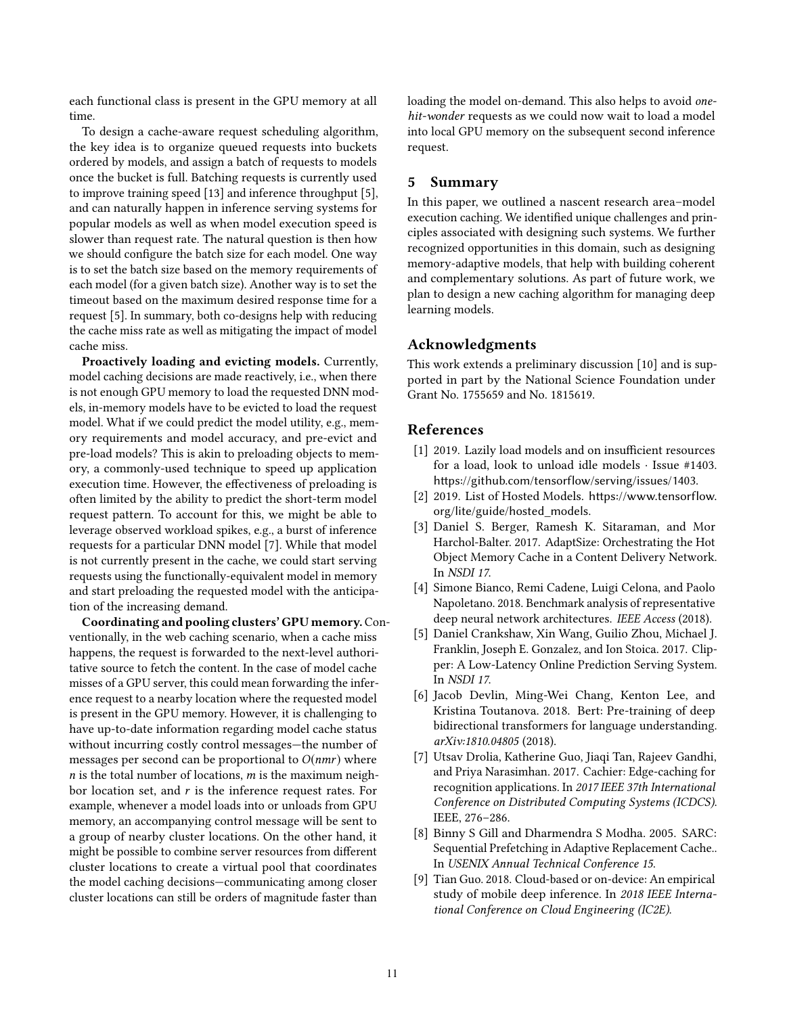each functional class is present in the GPU memory at all time.

To design a cache-aware request scheduling algorithm, the key idea is to organize queued requests into buckets ordered by models, and assign a batch of requests to models once the bucket is full. Batching requests is currently used to improve training speed [\[13\]](#page-5-11) and inference throughput [\[5\]](#page-4-5), and can naturally happen in inference serving systems for popular models as well as when model execution speed is slower than request rate. The natural question is then how we should configure the batch size for each model. One way is to set the batch size based on the memory requirements of each model (for a given batch size). Another way is to set the timeout based on the maximum desired response time for a request [\[5\]](#page-4-5). In summary, both co-designs help with reducing the cache miss rate as well as mitigating the impact of model cache miss.

Proactively loading and evicting models. Currently, model caching decisions are made reactively, i.e., when there is not enough GPU memory to load the requested DNN models, in-memory models have to be evicted to load the request model. What if we could predict the model utility, e.g., memory requirements and model accuracy, and pre-evict and pre-load models? This is akin to preloading objects to memory, a commonly-used technique to speed up application execution time. However, the effectiveness of preloading is often limited by the ability to predict the short-term model request pattern. To account for this, we might be able to leverage observed workload spikes, e.g., a burst of inference requests for a particular DNN model [\[7\]](#page-4-8). While that model is not currently present in the cache, we could start serving requests using the functionally-equivalent model in memory and start preloading the requested model with the anticipation of the increasing demand.

Coordinating and pooling clusters' GPU memory. Conventionally, in the web caching scenario, when a cache miss happens, the request is forwarded to the next-level authoritative source to fetch the content. In the case of model cache misses of a GPU server, this could mean forwarding the inference request to a nearby location where the requested model is present in the GPU memory. However, it is challenging to have up-to-date information regarding model cache status without incurring costly control messages—the number of messages per second can be proportional to  $O(nmr)$  where  $n$  is the total number of locations,  $m$  is the maximum neighbor location set, and  $r$  is the inference request rates. For example, whenever a model loads into or unloads from GPU memory, an accompanying control message will be sent to a group of nearby cluster locations. On the other hand, it might be possible to combine server resources from different cluster locations to create a virtual pool that coordinates the model caching decisions—communicating among closer cluster locations can still be orders of magnitude faster than

loading the model on-demand. This also helps to avoid *one*hit-wonder requests as we could now wait to load a model into local GPU memory on the subsequent second inference request.

## 5 Summary

In this paper, we outlined a nascent research area–model execution caching. We identified unique challenges and principles associated with designing such systems. We further recognized opportunities in this domain, such as designing memory-adaptive models, that help with building coherent and complementary solutions. As part of future work, we plan to design a new caching algorithm for managing deep learning models.

## Acknowledgments

This work extends a preliminary discussion [\[10\]](#page-5-12) and is supported in part by the National Science Foundation under Grant No. 1755659 and No. 1815619.

## References

- <span id="page-4-2"></span>[1] 2019. Lazily load models and on insufficient resources for a load, look to unload idle models · Issue #1403. <https://github.com/tensorflow/serving/issues/1403>.
- <span id="page-4-0"></span>[2] 2019. List of Hosted Models. [https://www.tensorflow.](https://www.tensorflow.org/lite/guide/hosted_models) [org/lite/guide/hosted\\_models](https://www.tensorflow.org/lite/guide/hosted_models).
- <span id="page-4-6"></span>[3] Daniel S. Berger, Ramesh K. Sitaraman, and Mor Harchol-Balter. 2017. AdaptSize: Orchestrating the Hot Object Memory Cache in a Content Delivery Network. In NSDI 17.
- <span id="page-4-4"></span>[4] Simone Bianco, Remi Cadene, Luigi Celona, and Paolo Napoletano. 2018. Benchmark analysis of representative deep neural network architectures. IEEE Access (2018).
- <span id="page-4-5"></span>[5] Daniel Crankshaw, Xin Wang, Guilio Zhou, Michael J. Franklin, Joseph E. Gonzalez, and Ion Stoica. 2017. Clipper: A Low-Latency Online Prediction Serving System. In NSDI 17.
- <span id="page-4-3"></span>[6] Jacob Devlin, Ming-Wei Chang, Kenton Lee, and Kristina Toutanova. 2018. Bert: Pre-training of deep bidirectional transformers for language understanding. arXiv:1810.04805 (2018).
- <span id="page-4-8"></span>[7] Utsav Drolia, Katherine Guo, Jiaqi Tan, Rajeev Gandhi, and Priya Narasimhan. 2017. Cachier: Edge-caching for recognition applications. In 2017 IEEE 37th International Conference on Distributed Computing Systems (ICDCS). IEEE, 276–286.
- <span id="page-4-7"></span>[8] Binny S Gill and Dharmendra S Modha. 2005. SARC: Sequential Prefetching in Adaptive Replacement Cache.. In USENIX Annual Technical Conference 15.
- <span id="page-4-1"></span>[9] Tian Guo. 2018. Cloud-based or on-device: An empirical study of mobile deep inference. In 2018 IEEE International Conference on Cloud Engineering (IC2E).